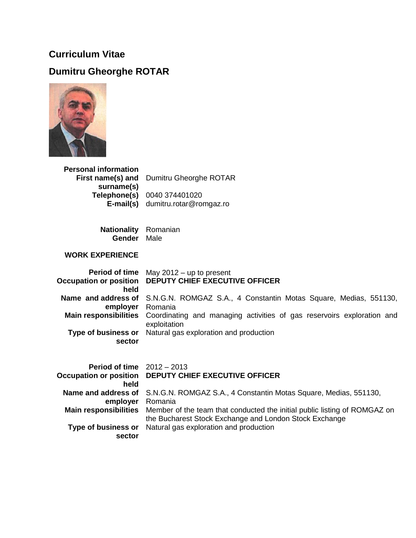## **Curriculum Vitae**

## **Dumitru Gheorghe ROTAR**



| <b>Personal information</b> |                                                 |
|-----------------------------|-------------------------------------------------|
|                             | <b>First name(s) and</b> Dumitru Gheorghe ROTAR |
| surname(s)                  |                                                 |
|                             | Telephone(s) 0040 374401020                     |
| E-mail(s)                   | dumitru.rotar@romgaz.ro                         |

**Nationality Gender** Romanian Male

## **WORK EXPERIENCE**

| <b>Occupation or position</b><br>held | <b>Period of time</b> May $2012 - up$ to present<br><b>DEPUTY CHIEF EXECUTIVE OFFICER</b>              |
|---------------------------------------|--------------------------------------------------------------------------------------------------------|
| Name and address of<br>employer       | S.N.G.N. ROMGAZ S.A., 4 Constantin Motas Square, Medias, 551130,<br>Romania                            |
| <b>Main responsibilities</b>          | Coordinating and managing activities of gas reservoirs exploration and<br>exploitation                 |
| Type of business or<br>sector         | Natural gas exploration and production                                                                 |
| <b>Period of time</b> $2012 - 2013$   |                                                                                                        |
| held                                  | Occupation or position  DEPUTY CHIEF EXECUTIVE OFFICER                                                 |
| Name and address of<br>employer       | S.N.G.N. ROMGAZ S.A., 4 Constantin Motas Square, Medias, 551130,<br>Romania                            |
|                                       | <b>Main responsibilities</b> Member of the team that conducted the initial public listing of ROMGAZ on |

**Type of business or sector** the Bucharest Stock Exchange and London Stock Exchange Natural gas exploration and production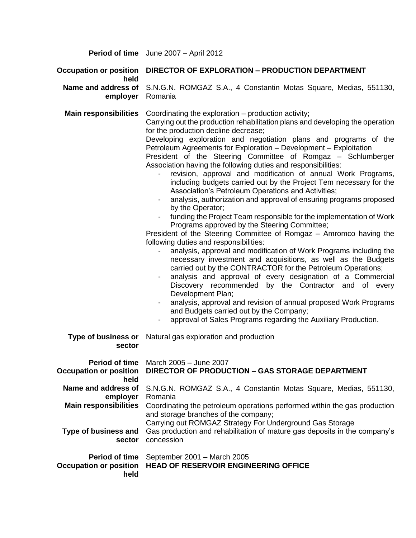**Period of time** June 2007 – April 2012

## **Occupation or position DIRECTOR OF EXPLORATION – PRODUCTION DEPARTMENT held**

**Name and address of**  S.N.G.N. ROMGAZ S.A., 4 Constantin Motas Square, Medias, 551130, **employer** Romania

**Main responsibilities** Coordinating the exploration – production activity; Carrying out the production rehabilitation plans and developing the operation for the production decline decrease;

> Developing exploration and negotiation plans and programs of the Petroleum Agreements for Exploration – Development – Exploitation

> President of the Steering Committee of Romgaz – Schlumberger Association having the following duties and responsibilities:

- revision, approval and modification of annual Work Programs, including budgets carried out by the Project Tem necessary for the Association's Petroleum Operations and Activities;
- analysis, authorization and approval of ensuring programs proposed by the Operator;
- funding the Project Team responsible for the implementation of Work Programs approved by the Steering Committee;

President of the Steering Committee of Romgaz – Amromco having the following duties and responsibilities:

- analysis, approval and modification of Work Programs including the necessary investment and acquisitions, as well as the Budgets carried out by the CONTRACTOR for the Petroleum Operations;
- analysis and approval of every designation of a Commercial Discovery recommended by the Contractor and of every Development Plan;
- analysis, approval and revision of annual proposed Work Programs and Budgets carried out by the Company;
- approval of Sales Programs regarding the Auxiliary Production.

| sector                       | <b>Type of business or</b> Natural gas exploration and production                                                                                                             |
|------------------------------|-------------------------------------------------------------------------------------------------------------------------------------------------------------------------------|
| Occupation or position       | <b>Period of time</b> March 2005 – June 2007                                                                                                                                  |
| held                         | DIRECTOR OF PRODUCTION - GAS STORAGE DEPARTMENT                                                                                                                               |
| Name and address of          | S.N.G.N. ROMGAZ S.A., 4 Constantin Motas Square, Medias, 551130,                                                                                                              |
| employer                     | Romania                                                                                                                                                                       |
| <b>Main responsibilities</b> | Coordinating the petroleum operations performed within the gas production<br>and storage branches of the company;<br>Carrying out ROMGAZ Strategy For Underground Gas Storage |
| Type of business and         | Gas production and rehabilitation of mature gas deposits in the company's                                                                                                     |
| sector                       | concession                                                                                                                                                                    |
| <b>Period of time</b>        | September 2001 - March 2005                                                                                                                                                   |
| held                         | Occupation or position HEAD OF RESERVOIR ENGINEERING OFFICE                                                                                                                   |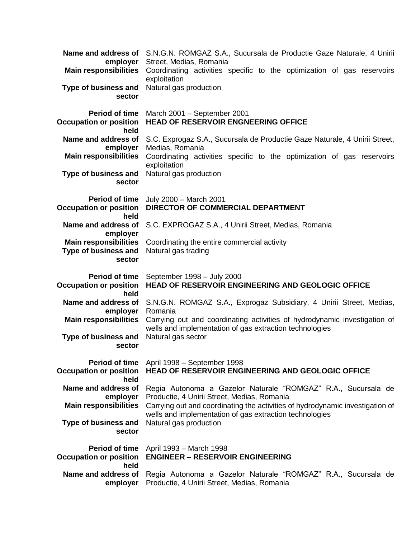| employer                                                     | <b>Name and address of</b> S.N.G.N. ROMGAZ S.A., Sucursala de Productie Gaze Naturale, 4 Unirii<br>Street, Medias, Romania   |
|--------------------------------------------------------------|------------------------------------------------------------------------------------------------------------------------------|
| <b>Main responsibilities</b>                                 | Coordinating activities specific to the optimization of gas reservoirs<br>exploitation                                       |
| Type of business and<br>sector                               | Natural gas production                                                                                                       |
| <b>Period of time</b><br><b>Occupation or position</b>       | March 2001 - September 2001<br><b>HEAD OF RESERVOIR ENGNEERING OFFICE</b>                                                    |
| held<br>Name and address of                                  |                                                                                                                              |
| employer                                                     | S.C. Exprogaz S.A., Sucursala de Productie Gaze Naturale, 4 Unirii Street,<br>Medias, Romania                                |
| <b>Main responsibilities</b>                                 | Coordinating activities specific to the optimization of gas reservoirs<br>exploitation                                       |
| Type of business and<br>sector                               | Natural gas production                                                                                                       |
| Period of time<br><b>Occupation or position</b>              | July 2000 - March 2001<br>DIRECTOR OF COMMERCIAL DEPARTMENT                                                                  |
| held<br>Name and address of<br>employer                      | S.C. EXPROGAZ S.A., 4 Unirii Street, Medias, Romania                                                                         |
| <b>Main responsibilities</b><br>Type of business and         | Coordinating the entire commercial activity<br>Natural gas trading                                                           |
| sector                                                       |                                                                                                                              |
|                                                              |                                                                                                                              |
| <b>Period of time</b><br><b>Occupation or position</b>       | September 1998 - July 2000<br>HEAD OF RESERVOIR ENGINEERING AND GEOLOGIC OFFICE                                              |
| held<br>Name and address of                                  | S.N.G.N. ROMGAZ S.A., Exprogaz Subsidiary, 4 Unirii Street, Medias,                                                          |
| employer<br><b>Main responsibilities</b>                     | Romania<br>Carrying out and coordinating activities of hydrodynamic investigation of                                         |
| Type of business and<br>sector                               | wells and implementation of gas extraction technologies<br>Natural gas sector                                                |
| Period of time<br><b>Occupation or position</b>              | April 1998 - September 1998<br>HEAD OF RESERVOIR ENGINEERING AND GEOLOGIC OFFICE                                             |
| held<br>Name and address of                                  | Regia Autonoma a Gazelor Naturale "ROMGAZ" R.A., Sucursala de                                                                |
| employer<br><b>Main responsibilities</b>                     | Productie, 4 Unirii Street, Medias, Romania<br>Carrying out and coordinating the activities of hydrodynamic investigation of |
| <b>Type of business and</b><br>sector                        | wells and implementation of gas extraction technologies<br>Natural gas production                                            |
| <b>Period of time</b>                                        | April 1993 - March 1998                                                                                                      |
| <b>Occupation or position</b><br>held<br>Name and address of | <b>ENGINEER - RESERVOIR ENGINEERING</b><br>Regia Autonoma a Gazelor Naturale "ROMGAZ" R.A., Sucursala de                     |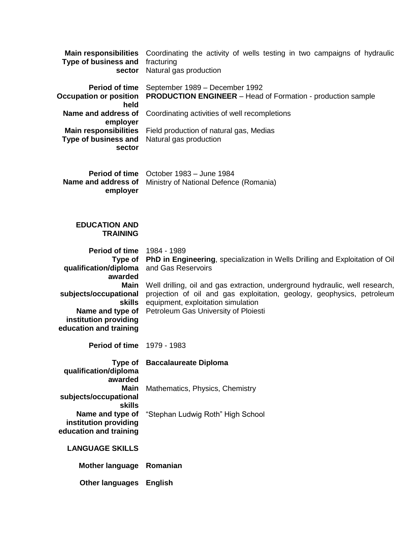| <b>Main responsibilities</b><br>Type of business and<br>sector      | Coordinating the activity of wells testing in two campaigns of hydraulic<br>fracturing<br>Natural gas production                                       |
|---------------------------------------------------------------------|--------------------------------------------------------------------------------------------------------------------------------------------------------|
| <b>Period of time</b><br><b>Occupation or position</b><br>held      | September 1989 - December 1992<br><b>PRODUCTION ENGINEER</b> – Head of Formation - production sample                                                   |
| Name and address of<br>employer                                     | Coordinating activities of well recompletions                                                                                                          |
| <b>Main responsibilities</b><br>Type of business and<br>sector      | Field production of natural gas, Medias<br>Natural gas production                                                                                      |
| Name and address of<br>employer                                     | Period of time October 1983 - June 1984<br>Ministry of National Defence (Romania)                                                                      |
| <b>EDUCATION AND</b><br><b>TRAINING</b>                             |                                                                                                                                                        |
| <b>Period of time 1984 - 1989</b><br>Type of                        | PhD in Engineering, specialization in Wells Drilling and Exploitation of Oil                                                                           |
| qualification/diploma<br>awarded                                    | and Gas Reservoirs                                                                                                                                     |
| Main<br>subjects/occupational                                       | Well drilling, oil and gas extraction, underground hydraulic, well research,<br>projection of oil and gas exploitation, geology, geophysics, petroleum |
| <b>skills</b><br>Name and type of                                   | equipment, exploitation simulation<br>Petroleum Gas University of Ploiesti                                                                             |
| institution providing<br>education and training                     |                                                                                                                                                        |
| <b>Period of time 1979 - 1983</b>                                   |                                                                                                                                                        |
| Type of<br>qualification/diploma<br>awarded                         | <b>Baccalaureate Diploma</b>                                                                                                                           |
| <b>Main</b><br>subjects/occupational<br><b>skills</b>               | Mathematics, Physics, Chemistry                                                                                                                        |
| Name and type of<br>institution providing<br>education and training | "Stephan Ludwig Roth" High School                                                                                                                      |
| <b>LANGUAGE SKILLS</b>                                              |                                                                                                                                                        |
| <b>Mother language</b>                                              | Romanian                                                                                                                                               |
| <b>Other languages</b>                                              | <b>English</b>                                                                                                                                         |